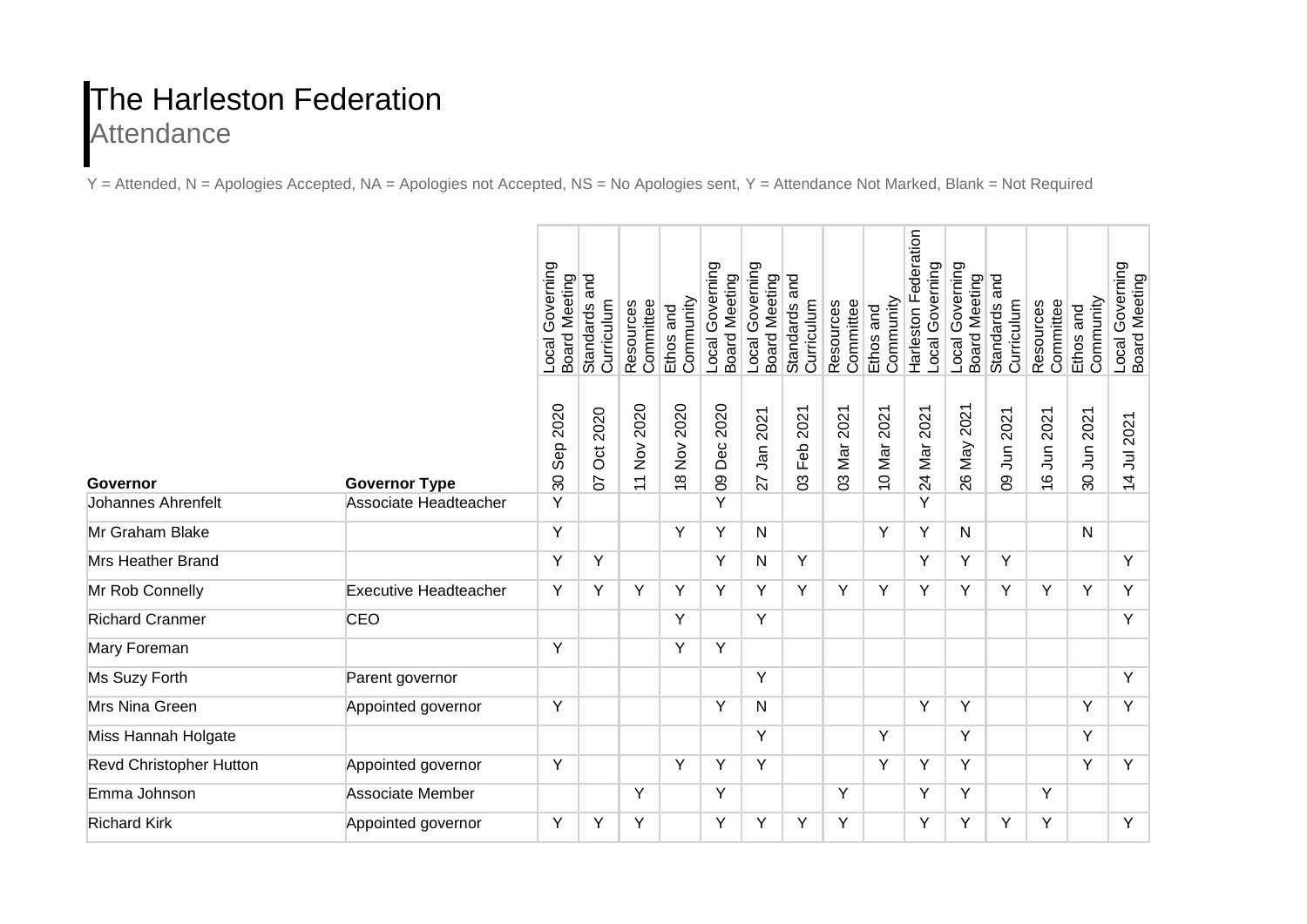## The Harleston Federation **Attendance**

Y = Attended, N = Apologies Accepted, NA = Apologies not Accepted, NS = No Apologies sent, Y = Attendance Not Marked, Blank = Not Required

|                           |                              | Local Governing<br><b>Board Meeting</b> | and<br>Curriculum<br><b>Standards</b> | Resources<br>Committee                                               | Community<br>Ethos and | Local Governing<br><b>Board Meeting</b> | Local Governing<br><b>Board Meeting</b> | and<br>Curriculum<br><b>Standards</b> | Resources<br>Committee | Community<br>Ethos and | Harleston Federation<br>Local Governing | Local Governing<br><b>Board Meeting</b> | and<br>Curriculum<br><b>Standards</b> | Committee<br>Resources | Community<br>Ethos and | Local Governing<br>Board Meeting |
|---------------------------|------------------------------|-----------------------------------------|---------------------------------------|----------------------------------------------------------------------|------------------------|-----------------------------------------|-----------------------------------------|---------------------------------------|------------------------|------------------------|-----------------------------------------|-----------------------------------------|---------------------------------------|------------------------|------------------------|----------------------------------|
| Governor                  | <b>Governor Type</b>         | Sep 2020<br>$\overline{\mathrm{30}}$    | 2020<br>Oct:<br>50                    | 2020<br>$\stackrel{\textstyle{>}}{\textstyle\sum}$<br>$\overline{1}$ | 18 Nov 2020            | 09 Dec 2020                             | Jan 2021<br>27                          | 03 Feb 2021                           | Mar 2021<br>80         | 2021<br>10 Mar 2       | 24 Mar 2021                             | 26 May 2021                             | 09 Jun 2021                           | 16 Jun 2021            | 30 Jun 2021            | 14 Jul 2021                      |
| <b>Johannes Ahrenfelt</b> | Associate Headteacher        | Y                                       |                                       |                                                                      |                        | Y                                       |                                         |                                       |                        |                        | Y                                       |                                         |                                       |                        |                        |                                  |
| Mr Graham Blake           |                              | Y                                       |                                       |                                                                      | Y                      | Y                                       | N                                       |                                       |                        | Y                      | Y                                       | $\mathsf{N}$                            |                                       |                        | $\mathsf{N}$           |                                  |
| <b>Mrs Heather Brand</b>  |                              | Y                                       | Y                                     |                                                                      |                        | Y                                       | N                                       | Y                                     |                        |                        | Y                                       | Y                                       | Y                                     |                        |                        | Y                                |
| Mr Rob Connelly           | <b>Executive Headteacher</b> | Y                                       | Y                                     | Y                                                                    | Y                      | Y                                       | Y                                       | Y                                     | Y                      | Y                      | Y                                       | Υ                                       | Y                                     | Y                      | Y                      | Y                                |
| <b>Richard Cranmer</b>    | <b>CEO</b>                   |                                         |                                       |                                                                      | Y                      |                                         | Y                                       |                                       |                        |                        |                                         |                                         |                                       |                        |                        | Y                                |
| Mary Foreman              |                              | Y                                       |                                       |                                                                      | Y                      | Y                                       |                                         |                                       |                        |                        |                                         |                                         |                                       |                        |                        |                                  |
| Ms Suzy Forth             | Parent governor              |                                         |                                       |                                                                      |                        |                                         | Y                                       |                                       |                        |                        |                                         |                                         |                                       |                        |                        | Y                                |
| Mrs Nina Green            | Appointed governor           | Y                                       |                                       |                                                                      |                        | Y                                       | N                                       |                                       |                        |                        | Y                                       | Υ                                       |                                       |                        | Y                      | Y                                |
| Miss Hannah Holgate       |                              |                                         |                                       |                                                                      |                        |                                         | Y                                       |                                       |                        | Y                      |                                         | Y                                       |                                       |                        | Y                      |                                  |
| Revd Christopher Hutton   | Appointed governor           | Y                                       |                                       |                                                                      | Y                      | Y                                       | Y                                       |                                       |                        | Y                      | Y                                       | Y                                       |                                       |                        | Y                      | Y                                |
| Emma Johnson              | Associate Member             |                                         |                                       | Y                                                                    |                        | Y                                       |                                         |                                       | Y                      |                        | Y                                       | Y                                       |                                       | Y                      |                        |                                  |
| <b>Richard Kirk</b>       | Appointed governor           | Y                                       | Y                                     | Υ                                                                    |                        | Y                                       | Υ                                       | Y                                     | Y                      |                        | Y                                       | Y                                       | Y                                     | Y                      |                        | Y                                |